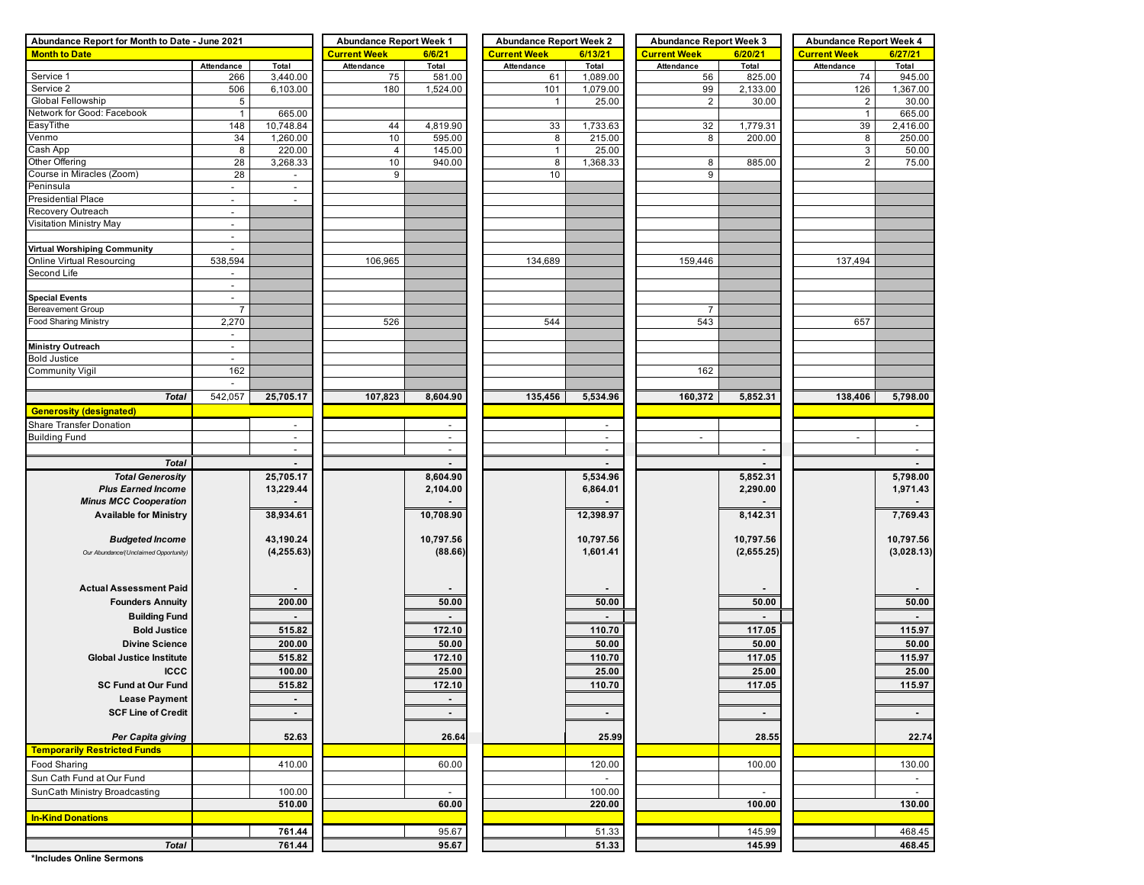| Abundance Report for Month to Date - June 2021 | <b>Abundance Report Week 1</b> |                | <b>Abundance Report Week 2</b> |                          | <b>Abundance Report Week 3</b> |                | <b>Abundance Report Week 4</b> |                |                                |                          |  |  |  |
|------------------------------------------------|--------------------------------|----------------|--------------------------------|--------------------------|--------------------------------|----------------|--------------------------------|----------------|--------------------------------|--------------------------|--|--|--|
| <b>Month to Date</b>                           |                                |                | <b>Current Week</b><br>6/6/21  |                          | <b>Current Week</b>            | 6/13/21        | <b>Current Week</b>            | 6/20/21        | <b>Current Week</b><br>6/27/21 |                          |  |  |  |
|                                                | Attendance                     | Total          | Attendance                     | Total                    | Attendance                     | Total          | Attendance                     | Total          | Attendance                     | Total                    |  |  |  |
| Service 1                                      | 266                            | 3,440.00       | 75                             | 581.00                   | 61                             | 1,089.00       | 56                             | 825.00         | 74                             | 945.00                   |  |  |  |
| Service 2                                      | 506                            | 6,103.00       | 180                            | 1,524.00                 | 101                            | 1,079.00       | 99                             | 2,133.00       | 126                            | 1,367.00                 |  |  |  |
| Global Fellowship                              | 5                              |                |                                |                          | $\mathbf{1}$                   | 25.00          | $\overline{2}$                 | 30.00          | $\overline{2}$                 | 30.00                    |  |  |  |
| Network for Good: Facebook                     | $\mathbf{1}$                   | 665.00         |                                |                          |                                |                |                                |                | $\mathbf{1}$                   | 665.00                   |  |  |  |
| EasyTithe                                      | 148                            | 10,748.84      | 44                             | 4,819.90                 | 33                             | 1,733.63       | 32                             | 1,779.31       | 39                             | 2,416.00                 |  |  |  |
| Venmo                                          | 34                             | 1,260.00       | 10                             | 595.00                   | 8                              | 215.00         | 8                              | 200.00         | 8                              | 250.00                   |  |  |  |
| Cash App                                       | 8                              | 220.00         | $\overline{4}$                 | 145.00                   | $\mathbf{1}$                   | 25.00          |                                |                | 3                              | 50.00                    |  |  |  |
| Other Offering                                 | 28                             | 3,268.33       | 10                             | 940.00                   | 8                              | 1,368.33       | 8                              | 885.00         | $\overline{2}$                 | 75.00                    |  |  |  |
| Course in Miracles (Zoom)                      | 28                             | $\sim$         | 9                              |                          | 10 <sup>1</sup>                |                | 9                              |                |                                |                          |  |  |  |
| Peninsula                                      | $\blacksquare$                 | $\sim$         |                                |                          |                                |                |                                |                |                                |                          |  |  |  |
| <b>Presidential Place</b>                      | $\overline{\phantom{a}}$       |                |                                |                          |                                |                |                                |                |                                |                          |  |  |  |
| Recovery Outreach                              | $\sim$                         |                |                                |                          |                                |                |                                |                |                                |                          |  |  |  |
| Visitation Ministry May                        | $\blacksquare$                 |                |                                |                          |                                |                |                                |                |                                |                          |  |  |  |
|                                                | $\overline{\phantom{a}}$       |                |                                |                          |                                |                |                                |                |                                |                          |  |  |  |
| <b>Virtual Worshiping Community</b>            | $\sim$                         |                |                                |                          |                                |                |                                |                |                                |                          |  |  |  |
| Online Virtual Resourcing                      | 538,594                        |                | 106,965                        |                          | 134,689                        |                | 159,446                        |                | 137,494                        |                          |  |  |  |
| Second Life                                    | $\overline{\phantom{a}}$       |                |                                |                          |                                |                |                                |                |                                |                          |  |  |  |
|                                                | $\mathbf{r}$                   |                |                                |                          |                                |                |                                |                |                                |                          |  |  |  |
| <b>Special Events</b>                          | $\sim$                         |                |                                |                          |                                |                |                                |                |                                |                          |  |  |  |
| <b>Bereavement Group</b>                       | $\overline{7}$                 |                |                                |                          |                                |                | $\overline{7}$                 |                |                                |                          |  |  |  |
| Food Sharing Ministry                          |                                |                |                                |                          |                                |                |                                |                |                                |                          |  |  |  |
|                                                | 2,270                          |                | 526                            |                          | 544                            |                | 543                            |                | 657                            |                          |  |  |  |
|                                                | $\overline{\phantom{a}}$       |                |                                |                          |                                |                |                                |                |                                |                          |  |  |  |
| <b>Ministry Outreach</b>                       | $\blacksquare$                 |                |                                |                          |                                |                |                                |                |                                |                          |  |  |  |
| <b>Bold Justice</b>                            | $\sim$                         |                |                                |                          |                                |                |                                |                |                                |                          |  |  |  |
| Community Vigil                                | 162                            |                |                                |                          |                                |                | 162                            |                |                                |                          |  |  |  |
|                                                | $\overline{\phantom{a}}$       |                |                                |                          |                                |                |                                |                |                                |                          |  |  |  |
| <b>Total</b>                                   | 542,057                        | 25,705.17      | 107,823                        | 8,604.90                 | 135,456                        | 5,534.96       | 160,372                        | 5,852.31       | 138,406                        | 5,798.00                 |  |  |  |
| <b>Generosity (designated)</b>                 |                                |                |                                |                          |                                |                |                                |                |                                |                          |  |  |  |
| Share Transfer Donation                        |                                |                |                                |                          |                                | $\blacksquare$ |                                |                |                                | $\overline{\phantom{a}}$ |  |  |  |
| <b>Building Fund</b>                           |                                | $\omega$       |                                | $\blacksquare$           |                                | $\sim$         | $\sim$                         |                | $\sim$                         |                          |  |  |  |
|                                                |                                | $\sim$         |                                | $\overline{\phantom{a}}$ |                                | $\sim$         |                                | $\sim$         |                                | $\overline{\phantom{a}}$ |  |  |  |
| <b>Total</b>                                   |                                |                |                                |                          |                                |                |                                |                |                                |                          |  |  |  |
| <b>Total Generosity</b>                        |                                | 25,705.17      |                                | 8,604.90                 |                                | 5,534.96       |                                | 5,852.31       |                                | 5,798.00                 |  |  |  |
| <b>Plus Earned Income</b>                      |                                | 13,229.44      |                                | 2,104.00                 |                                | 6,864.01       |                                | 2,290.00       |                                | 1,971.43                 |  |  |  |
| <b>Minus MCC Cooperation</b>                   |                                |                |                                |                          |                                |                |                                |                |                                |                          |  |  |  |
| <b>Available for Ministry</b>                  |                                | 38,934.61      |                                | 10,708.90                |                                | 12,398.97      |                                | 8,142.31       |                                | 7,769.43                 |  |  |  |
|                                                |                                |                |                                |                          |                                |                |                                |                |                                |                          |  |  |  |
| <b>Budgeted Income</b>                         |                                | 43,190.24      |                                | 10,797.56                |                                | 10,797.56      |                                | 10,797.56      |                                | 10,797.56                |  |  |  |
|                                                |                                | (4, 255.63)    |                                | (88.66)                  |                                | 1,601.41       |                                | (2,655.25)     |                                | (3,028.13)               |  |  |  |
| Our Abundance/(Unclaimed Opportunity)          |                                |                |                                |                          |                                |                |                                |                |                                |                          |  |  |  |
|                                                |                                |                |                                |                          |                                |                |                                |                |                                |                          |  |  |  |
|                                                |                                |                |                                |                          |                                |                |                                |                |                                |                          |  |  |  |
| <b>Actual Assessment Paid</b>                  |                                |                |                                |                          |                                |                |                                |                |                                |                          |  |  |  |
| <b>Founders Annuity</b>                        |                                | 200.00         |                                | 50.00                    |                                | 50.00          |                                | 50.00          |                                | 50.00                    |  |  |  |
| <b>Building Fund</b>                           |                                |                |                                |                          |                                |                |                                |                |                                | $\sim$                   |  |  |  |
| <b>Bold Justice</b>                            |                                | 515.82         |                                | 172.10                   |                                | 110.70         |                                | 117.05         |                                | 115.97                   |  |  |  |
| <b>Divine Science</b>                          |                                | 200.00         |                                | 50.00                    |                                | 50.00          |                                | 50.00          |                                | 50.00                    |  |  |  |
| <b>Global Justice Institute</b>                |                                | 515.82         |                                | 172.10                   |                                | 110.70         |                                | 117.05         |                                | 115.97                   |  |  |  |
| <b>ICCC</b>                                    |                                | 100.00         |                                | 25.00                    |                                | 25.00          |                                | 25.00          |                                | 25.00                    |  |  |  |
|                                                |                                |                |                                |                          |                                |                |                                |                |                                |                          |  |  |  |
| <b>SC Fund at Our Fund</b>                     |                                | 515.82         |                                | 172.10                   |                                | 110.70         |                                | 117.05         |                                | 115.97                   |  |  |  |
| <b>Lease Payment</b>                           |                                | $\blacksquare$ |                                | $\sim$                   |                                |                |                                |                |                                |                          |  |  |  |
| <b>SCF Line of Credit</b>                      |                                | $\sim$         |                                | $\sim$                   |                                | $\sim$         |                                | $\blacksquare$ |                                | $\sim 100$               |  |  |  |
|                                                |                                |                |                                |                          |                                |                |                                |                |                                |                          |  |  |  |
| Per Capita giving                              |                                | 52.63          |                                | 26.64                    |                                | 25.99          |                                | 28.55          |                                | 22.74                    |  |  |  |
| <b>Temporarily Restricted Funds</b>            |                                |                |                                |                          |                                |                |                                |                |                                |                          |  |  |  |
| Food Sharing                                   |                                | 410.00         |                                | 60.00                    |                                | 120.00         |                                | 100.00         |                                | 130.00                   |  |  |  |
| Sun Cath Fund at Our Fund                      |                                |                |                                |                          |                                | $\sim$         |                                |                |                                | $\sim$                   |  |  |  |
| SunCath Ministry Broadcasting                  |                                | 100.00         |                                | $\sim$                   |                                | 100.00         |                                | $\equiv$       |                                | $\sim$                   |  |  |  |
|                                                |                                | 510.00         |                                | 60.00                    |                                | 220.00         |                                | 100.00         |                                | 130.00                   |  |  |  |
|                                                |                                |                |                                |                          |                                |                |                                |                |                                |                          |  |  |  |
| <b>In-Kind Donations</b>                       |                                |                |                                |                          |                                |                |                                |                |                                |                          |  |  |  |
|                                                |                                | 761.44         |                                | 95.67                    |                                | 51.33          |                                | 145.99         |                                | 468.45                   |  |  |  |
| Total                                          |                                | 761.44         |                                | 95.67                    |                                | 51.33          |                                | 145.99         |                                | 468.45                   |  |  |  |

**\*Includes Online Sermons**